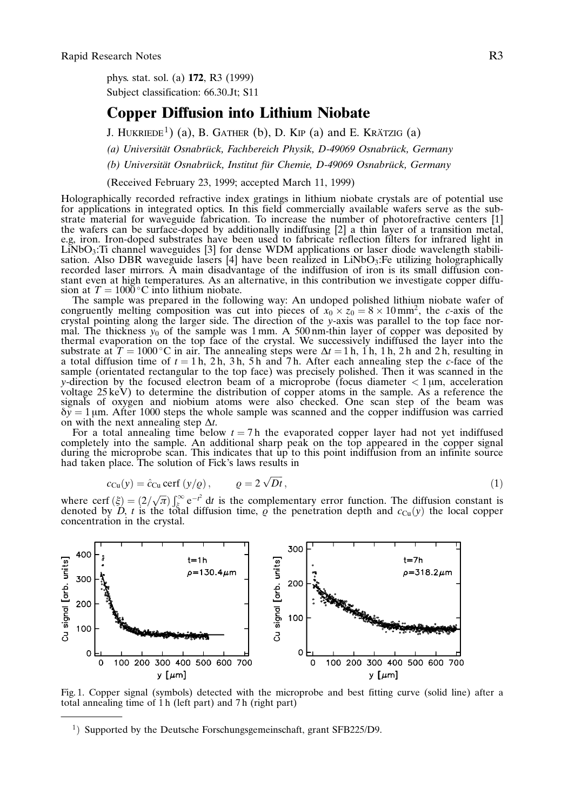phys. stat. sol. (a) 172, R3 (1999) Subject classification: 66.30.Jt; S11

## Copper Diffusion into Lithium Niobate

J. HUKRIEDE<sup>1</sup>) (a), B. GATHER (b), D. KIP (a) and E. KRÄTZIG (a)

(a) Universität Osnabrück, Fachbereich Physik, D-49069 Osnabrück, Germany

(b) Universität Osnabrück, Institut für Chemie, D-49069 Osnabrück, Germany

(Received February 23, 1999; accepted March 11, 1999)

Holographically recorded refractive index gratings in lithium niobate crystals are of potential use for applications in integrated optics. In this field commercially available wafers serve as the substrate material for waveguide fabrication. To increase the number of photorefractive centers [1] the wafers can be surface-doped by additionally indiffusing [2] a thin layer of a transition metal, e.g, iron. Iron-doped substrates have been used to fabricate reflection filters for infrared light in  $LiNbO<sub>3</sub>:Ti channel$  waveguides [3] for dense WDM applications or laser diode wavelength stabilisation. Also DBR waveguide lasers [4] have been realized in  $LiNbO<sub>3</sub>$ : Fe utilizing holographically recorded laser mirrors. A main disadvantage of the indiffusion of iron is its small diffusion constant even at high temperatures. As an alternative, in this contribution we investigate copper diffusion at  $T = 1000^{\circ}$ C into lithium niobate.

The sample was prepared in the following way: An undoped polished lithium niobate wafer of congruently melting composition was cut into pieces of  $x_0 \times z_0 = 8 \times 10 \text{ mm}^2$ , the c-axis of the crystal pointing along the larger side. The direction of the y-axis was parallel to the top face normal. The thickness  $y_0$  of the sample was 1 mm. A 500 nm-thin layer of copper was deposited by thermal evaporation on the top face of the crystal. We successively indiffused the layer into the substrate at  $T = 1000 \degree \text{C}$  in air. The annealing steps were  $\Delta t = 1$  h, 1 h, 1 h, 2 h and 2 h, resulting in a total diffusion time of  $t = 1$  h,  $2$  h,  $3$  h,  $5$  h and  $7$  h. After each annealing step the *c*-face of the sample (orientated rectangular to the top face) was precisely polished. Then it was scanned in the y-direction by the focused electron beam of a microprobe (focus diameter  $\lt 1 \mu$ m, acceleration voltage 25 keV) to determine the distribution of copper atoms in the sample. As a reference the signals of oxygen and niobium atoms were also checked. One scan step of the beam was  $\delta y = 1$  µm. After 1000 steps the whole sample was scanned and the copper indiffusion was carried on with the next annealing step  $\Delta t$ .

For a total annealing time below  $t = 7$  h the evaporated copper layer had not yet indiffused completely into the sample. An additional sharp peak on the top appeared in the copper signal during the microprobe scan. This indicates that up to this point indiffusion from an infinite source had taken place. The solution of Fick's laws results in

$$
c_{\text{Cu}}(y) = \hat{c}_{\text{Cu}} \operatorname{cerf}(y/q), \qquad \varrho = 2\sqrt{Dt}, \qquad (1)
$$

where cerf  $(\xi) = (2/\sqrt{\pi}) \int_{\xi}^{\infty} e^{-t^2} dt$  is the complementary error function. The diffusion constant is denoted by D, t is the total diffusion time,  $\rho$  the penetration depth and  $c_{Cu}(y)$  the local copper concentration in the crystal.



Fig. 1. Copper signal (symbols) detected with the microprobe and best fitting curve (solid line) after a total annealing time of 1 h (left part) and 7 h (right part)

 $1)$  Supported by the Deutsche Forschungsgemeinschaft, grant SFB225/D9.